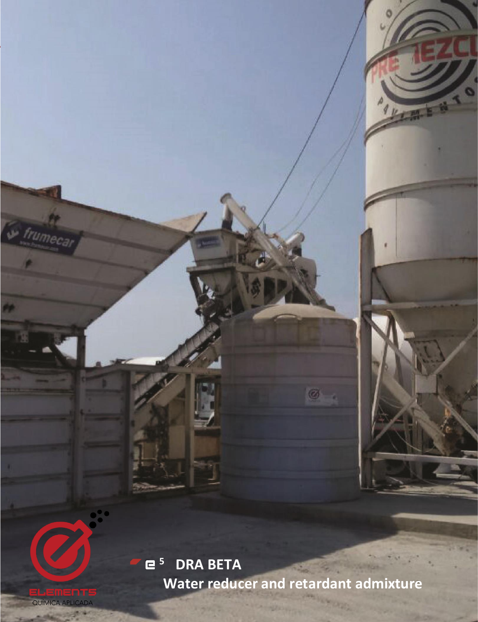**<sup>5</sup> DRA BETA Water reducer and retardant admixture**

Ø

QUÍMICA APLICADA

V frumeca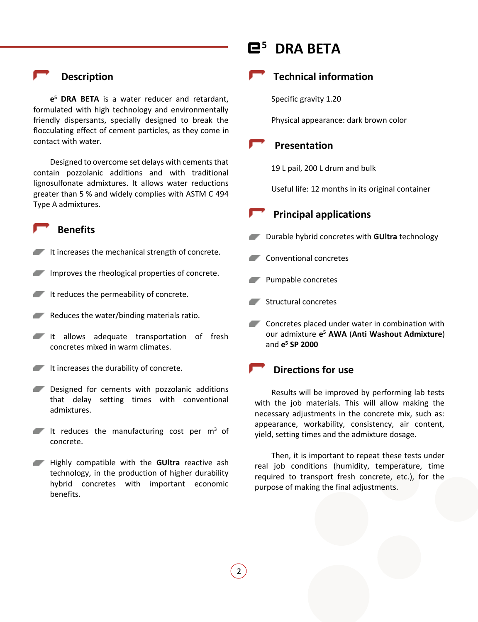### **Description**

**e <sup>5</sup> DRA BETA** is a water reducer and retardant, formulated with high technology and environmentally friendly dispersants, specially designed to break the flocculating effect of cement particles, as they come in contact with water.

Designed to overcome set delays with cements that contain pozzolanic additions and with traditional lignosulfonate admixtures. It allows water reductions greater than 5 % and widely complies with ASTM C 494 Type A admixtures.

#### **Benefits**

- It increases the mechanical strength of concrete.
- Improves the rheological properties of concrete.
- It reduces the permeability of concrete.
- $\blacksquare$  Reduces the water/binding materials ratio.
- It allows adequate transportation of fresh concretes mixed in warm climates.
- $I$  It increases the durability of concrete.
- Designed for cements with pozzolanic additions that delay setting times with conventional admixtures.
- It reduces the manufacturing cost per  $m<sup>3</sup>$  of concrete.
- Highly compatible with the **GUltra** reactive ash  $\mathcal{L}$ technology, in the production of higher durability hybrid concretes with important economic benefits.

# **<sup>5</sup> DRA BETA**



Specific gravity 1.20

Physical appearance: dark brown color

#### **Presentation**

19 L pail, 200 L drum and bulk

Useful life: 12 months in its original container

#### **Principal applications**

- **Durable hybrid concretes with GUItra technology**
- Conventional concretes
- Pumpable concretes
- **Structural concretes**
- **Concretes placed under water in combination with** our admixture **e <sup>5</sup> AWA** (**Anti Washout Admixture**) and **e <sup>5</sup> SP 2000**

### **Directions for use**

2

Results will be improved by performing lab tests with the job materials. This will allow making the necessary adjustments in the concrete mix, such as: appearance, workability, consistency, air content, yield, setting times and the admixture dosage.

Then, it is important to repeat these tests under real job conditions (humidity, temperature, time required to transport fresh concrete, etc.), for the purpose of making the final adjustments.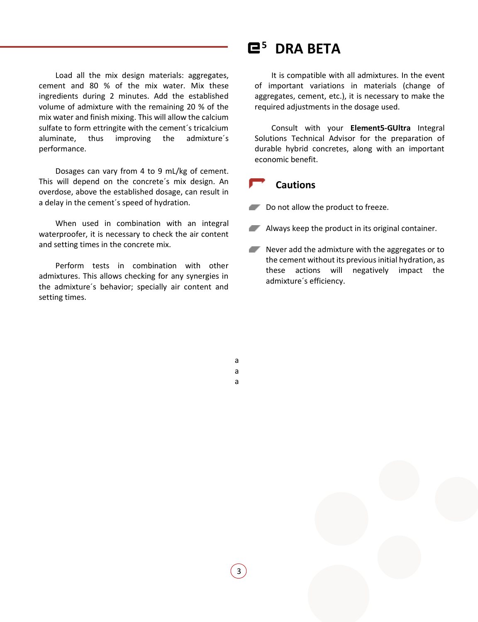Load all the mix design materials: aggregates, cement and 80 % of the mix water. Mix these ingredients during 2 minutes. Add the established volume of admixture with the remaining 20 % of the mix water and finish mixing. This will allow the calcium sulfate to form ettringite with the cement´s tricalcium aluminate, thus improving the admixture´s performance.

Dosages can vary from 4 to 9 mL/kg of cement. This will depend on the concrete´s mix design. An overdose, above the established dosage, can result in a delay in the cement´s speed of hydration.

When used in combination with an integral waterproofer, it is necessary to check the air content and setting times in the concrete mix.

Perform tests in combination with other admixtures. This allows checking for any synergies in the admixture´s behavior; specially air content and setting times.

## **<sup>5</sup> DRA BETA**

It is compatible with all admixtures. In the event of important variations in materials (change of aggregates, cement, etc.), it is necessary to make the required adjustments in the dosage used.

Consult with your **Element5-GUltra** Integral Solutions Technical Advisor for the preparation of durable hybrid concretes, along with an important economic benefit.

#### **Cautions**

- Do not allow the product to freeze.
- **Always keep the product in its original container.**
- Never add the admixture with the aggregates or to the cement without its previous initial hydration, as these actions will negatively impact the admixture´s efficiency.

a a

a

3